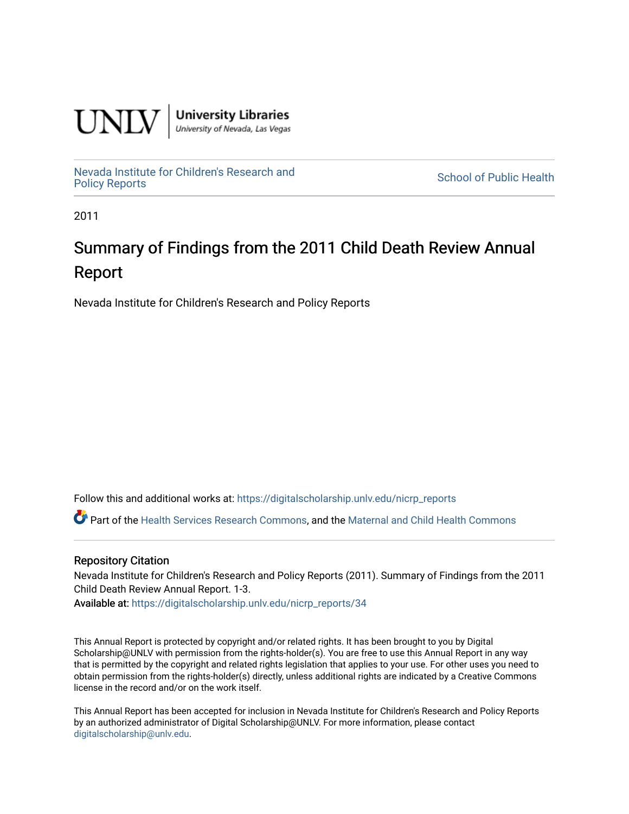

**University Libraries**<br>University of Nevada, Las Vegas

[Nevada Institute for Children's Research and](https://digitalscholarship.unlv.edu/nicrp_reports)

**School of Public Health** 

2011

# Summary of Findings from the 2011 Child Death Review Annual Report

Nevada Institute for Children's Research and Policy Reports

Follow this and additional works at: [https://digitalscholarship.unlv.edu/nicrp\\_reports](https://digitalscholarship.unlv.edu/nicrp_reports?utm_source=digitalscholarship.unlv.edu%2Fnicrp_reports%2F34&utm_medium=PDF&utm_campaign=PDFCoverPages)

Part of the [Health Services Research Commons,](http://network.bepress.com/hgg/discipline/816?utm_source=digitalscholarship.unlv.edu%2Fnicrp_reports%2F34&utm_medium=PDF&utm_campaign=PDFCoverPages) and the [Maternal and Child Health Commons](http://network.bepress.com/hgg/discipline/745?utm_source=digitalscholarship.unlv.edu%2Fnicrp_reports%2F34&utm_medium=PDF&utm_campaign=PDFCoverPages) 

#### Repository Citation

Nevada Institute for Children's Research and Policy Reports (2011). Summary of Findings from the 2011 Child Death Review Annual Report. 1-3.

Available at: [https://digitalscholarship.unlv.edu/nicrp\\_reports/34](https://digitalscholarship.unlv.edu/nicrp_reports/34) 

This Annual Report is protected by copyright and/or related rights. It has been brought to you by Digital Scholarship@UNLV with permission from the rights-holder(s). You are free to use this Annual Report in any way that is permitted by the copyright and related rights legislation that applies to your use. For other uses you need to obtain permission from the rights-holder(s) directly, unless additional rights are indicated by a Creative Commons license in the record and/or on the work itself.

This Annual Report has been accepted for inclusion in Nevada Institute for Children's Research and Policy Reports by an authorized administrator of Digital Scholarship@UNLV. For more information, please contact [digitalscholarship@unlv.edu](mailto:digitalscholarship@unlv.edu).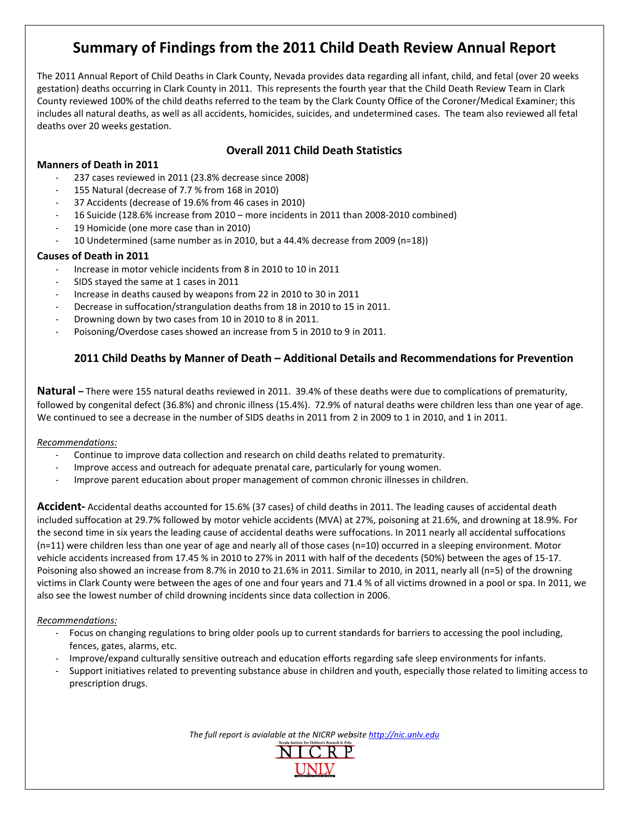## Summary of Findings from the 2011 Child Death Review Annual Report

The 2011 Annual Report of Child Deaths in Clark County, Nevada provides data regarding all infant, child, and fetal (over 20 weeks gestation) deaths occurring in Clark County in 2011. This represents the fourth year that the Child Death Review Team in Clark County reviewed 100% of the child deaths referred to the team by the Clark County Office of the Coroner/Medical Examiner; this includes all natural deaths, as well as all accidents, homicides, suicides, and undetermined cases. The team also reviewed all fetal deaths over 20 weeks gestation.

## **Overall 2011 Child Death Statistics**

#### **Manners of Death in 2011**

- 237 cases reviewed in 2011 (23.8% decrease since 2008)
- 155 Natural (decrease of 7.7 % from 168 in 2010)
- 37 Accidents (decrease of 19.6% from 46 cases in 2010)
- 16 Suicide (128.6% increase from 2010 more incidents in 2011 than 2008-2010 combined)
- 19 Homicide (one more case than in 2010)
- 10 Undetermined (same number as in 2010, but a 44.4% decrease from 2009 (n=18))

#### **Causes of Death in 2011**

- Increase in motor vehicle incidents from 8 in 2010 to 10 in 2011
- SIDS stayed the same at 1 cases in 2011
- Increase in deaths caused by weapons from 22 in 2010 to 30 in 2011
- Decrease in suffocation/strangulation deaths from 18 in 2010 to 15 in 2011.
- Drowning down by two cases from 10 in 2010 to 8 in 2011.
- Poisoning/Overdose cases showed an increase from 5 in 2010 to 9 in 2011.

## 2011 Child Deaths by Manner of Death - Additional Details and Recommendations for Prevention

Natural - There were 155 natural deaths reviewed in 2011. 39.4% of these deaths were due to complications of prematurity, followed by congenital defect (36.8%) and chronic illness (15.4%). 72.9% of natural deaths were children less than one year of age. We continued to see a decrease in the number of SIDS deaths in 2011 from 2 in 2009 to 1 in 2010, and 1 in 2011.

#### Recommendations:

- Continue to improve data collection and research on child deaths related to prematurity.
- Improve access and outreach for adequate prenatal care, particularly for young women.
- Improve parent education about proper management of common chronic illnesses in children.

Accident-Accidental deaths accounted for 15.6% (37 cases) of child deaths in 2011. The leading causes of accidental death included suffocation at 29.7% followed by motor vehicle accidents (MVA) at 27%, poisoning at 21.6%, and drowning at 18.9%. For the second time in six years the leading cause of accidental deaths were suffocations. In 2011 nearly all accidental suffocations  $(n=11)$  were children less than one year of age and nearly all of those cases  $(n=10)$  occurred in a sleeping environment. Motor vehicle accidents increased from 17.45 % in 2010 to 27% in 2011 with half of the decedents (50%) between the ages of 15-17. Poisoning also showed an increase from 8.7% in 2010 to 21.6% in 2011. Similar to 2010, in 2011, nearly all (n=5) of the drowning victims in Clark County were between the ages of one and four years and 71.4 % of all victims drowned in a pool or spa. In 2011, we also see the lowest number of child drowning incidents since data collection in 2006.

#### Recommendations:

- Focus on changing regulations to bring older pools up to current standards for barriers to accessing the pool including, fences, gates, alarms, etc.
- Improve/expand culturally sensitive outreach and education efforts regarding safe sleep environments for infants.
- Support initiatives related to preventing substance abuse in children and youth, especially those related to limiting access to prescription drugs.

The full report is avialable at the NICRP website http://nic.unlv.edu

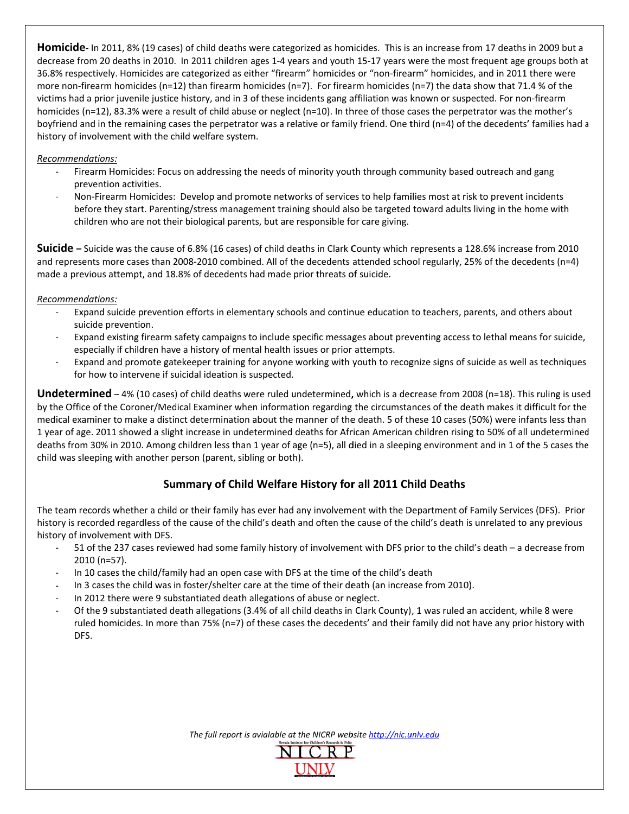**Homicide** - In 2011, 8% (19 cases) of child deaths were categorized as homicides. This is an increase from 17 deaths in 2009 but a decrease from 20 deaths in 2010. In 2011 children ages 1-4 years and youth 15-17 years were the most frequent age groups both at 36.8% respectively. Homicides are categorized as either "firearm" homicides or "non-firearm" homicides, and in 2011 there were more non-firearm homicides (n=12) than firearm homicides (n=7). For firearm homicides (n=7) the data show that 71.4 % of the victims had a prior juvenile justice history, and in 3 of these incidents gang affiliation was known or suspected. For non-firearm homicides (n=12), 83.3% were a result of child abuse or neglect (n=10). In three of those cases the perpetrator was the mother's boyfriend and in the remaining cases the perpetrator was a relative or family friend. One third (n=4) of the decedents' families had a history of involvement with the child welfare system.

#### Recommendations:

- Firearm Homicides: Focus on addressing the needs of minority youth through community based outreach and gang prevention activities.
- Non-Firearm Homicides: Develop and promote networks of services to help families most at risk to prevent incidents before they start. Parenting/stress management training should also be targeted toward adults living in the home with children who are not their biological parents, but are responsible for care giving.

Suicide - Suicide was the cause of 6.8% (16 cases) of child deaths in Clark County which represents a 128.6% increase from 2010 and represents more cases than 2008-2010 combined. All of the decedents attended school regularly, 25% of the decedents (n=4) made a previous attempt, and 18.8% of decedents had made prior threats of suicide.

#### Recommendations:

- Expand suicide prevention efforts in elementary schools and continue education to teachers, parents, and others about suicide prevention.
- Expand existing firearm safety campaigns to include specific messages about preventing access to lethal means for suicide, especially if children have a history of mental health issues or prior attempts.
- Expand and promote gatekeeper training for anyone working with youth to recognize signs of suicide as well as techniques for how to intervene if suicidal ideation is suspected.

Undetermined - 4% (10 cases) of child deaths were ruled undetermined, which is a decrease from 2008 (n=18). This ruling is used by the Office of the Coroner/Medical Examiner when information regarding the circumstances of the death makes it difficult for the medical examiner to make a distinct determination about the manner of the death. 5 of these 10 cases (50%) were infants less than 1 year of age. 2011 showed a slight increase in undetermined deaths for African American children rising to 50% of all undetermined deaths from 30% in 2010. Among children less than 1 year of age (n=5), all died in a sleeping environment and in 1 of the 5 cases the child was sleeping with another person (parent, sibling or both).

## Summary of Child Welfare History for all 2011 Child Deaths

The team records whether a child or their family has ever had any involvement with the Department of Family Services (DFS). Prior history is recorded regardless of the cause of the child's death and often the cause of the child's death is unrelated to any previous history of involvement with DFS.

- 51 of the 237 cases reviewed had some family history of involvement with DFS prior to the child's death a decrease from 2010 (n=57).
- In 10 cases the child/family had an open case with DFS at the time of the child's death
- In 3 cases the child was in foster/shelter care at the time of their death (an increase from 2010).
- In 2012 there were 9 substantiated death allegations of abuse or neglect.
- Of the 9 substantiated death allegations (3.4% of all child deaths in Clark County), 1 was ruled an accident, while 8 were ruled homicides. In more than 75% (n=7) of these cases the decedents' and their family did not have any prior history with DFS.

The full report is avialable at the NICRP website http://nic.unlv.edu